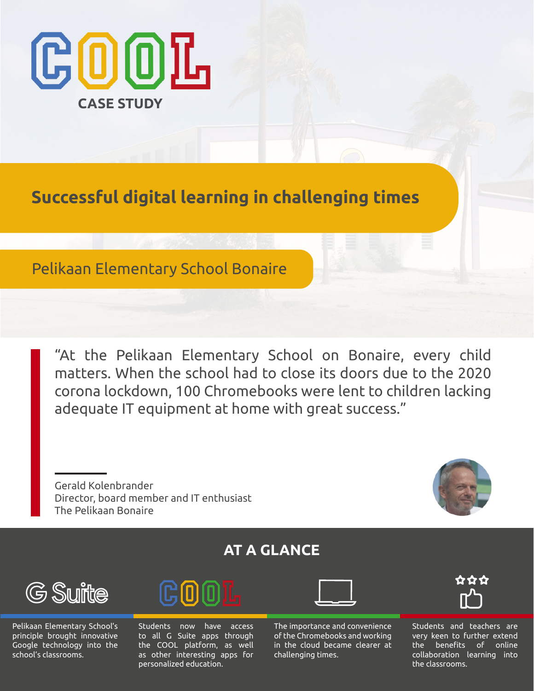

**Successful digital learning in challenging times**

# Pelikaan Elementary School Bonaire

"At the Pelikaan Elementary School on Bonaire, every child matters. When the school had to close its doors due to the 2020 corona lockdown, 100 Chromebooks were lent to children lacking adequate IT equipment at home with great success."

Gerald Kolenbrander Director, board member and IT enthusiast The Pelikaan Bonaire



# **AT A GLANCE**



Pelikaan Elementary School's principle brought innovative Google technology into the school's classrooms.



Students now have access to all G Suite apps through the COOL platform, as well as other interesting apps for personalized education.

The importance and convenience of the Chromebooks and working in the cloud became clearer at challenging times.



Students and teachers are very keen to further extend the benefits of online collaboration learning into the classrooms.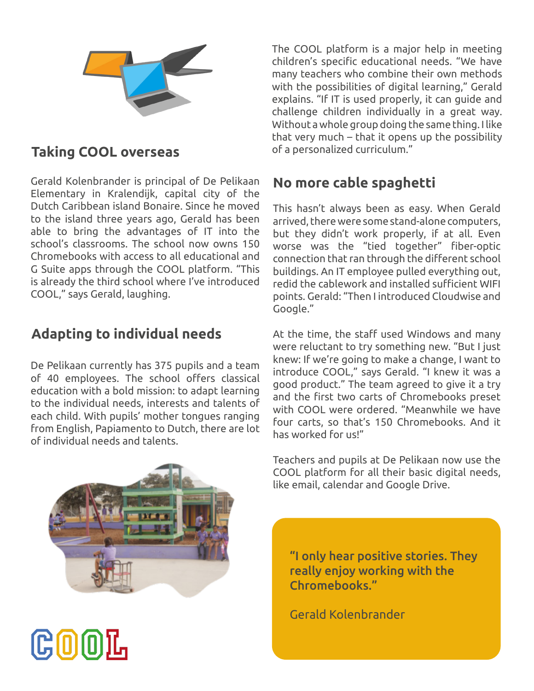

## **Taking COOL overseas**

Gerald Kolenbrander is principal of De Pelikaan **No more cable spaghetti** Elementary in Kralendijk, capital city of the Dutch Caribbean island Bonaire. Since he moved to the island three years ago, Gerald has been able to bring the advantages of IT into the school's classrooms. The school now owns 150 Chromebooks with access to all educational and G Suite apps through the COOL platform. "This is already the third school where I've introduced COOL," says Gerald, laughing.

# **Adapting to individual needs**

De Pelikaan currently has 375 pupils and a team of 40 employees. The school offers classical education with a bold mission: to adapt learning to the individual needs, interests and talents of each child. With pupils' mother tongues ranging from English, Papiamento to Dutch, there are lot of individual needs and talents.

The COOL platform is a major help in meeting children's specific educational needs. "We have many teachers who combine their own methods with the possibilities of digital learning," Gerald explains. "If IT is used properly, it can guide and challenge children individually in a great way. Without a whole group doing the same thing. I like that very much – that it opens up the possibility of a personalized curriculum."

This hasn't always been as easy. When Gerald arrived, there were some stand-alone computers, but they didn't work properly, if at all. Even worse was the "tied together" fiber-optic connection that ran through the different school buildings. An IT employee pulled everything out, redid the cablework and installed sufficient WIFI points. Gerald: "Then I introduced Cloudwise and Google."

At the time, the staff used Windows and many were reluctant to try something new. "But I just knew: If we're going to make a change, I want to introduce COOL," says Gerald. "I knew it was a good product." The team agreed to give it a try and the first two carts of Chromebooks preset with COOL were ordered. "Meanwhile we have four carts, so that's 150 Chromebooks. And it has worked for us!"



(C 0 0

Teachers and pupils at De Pelikaan now use the COOL platform for all their basic digital needs, like email, calendar and Google Drive.

"I only hear positive stories. They really enjoy working with the Chromebooks."

Gerald Kolenbrander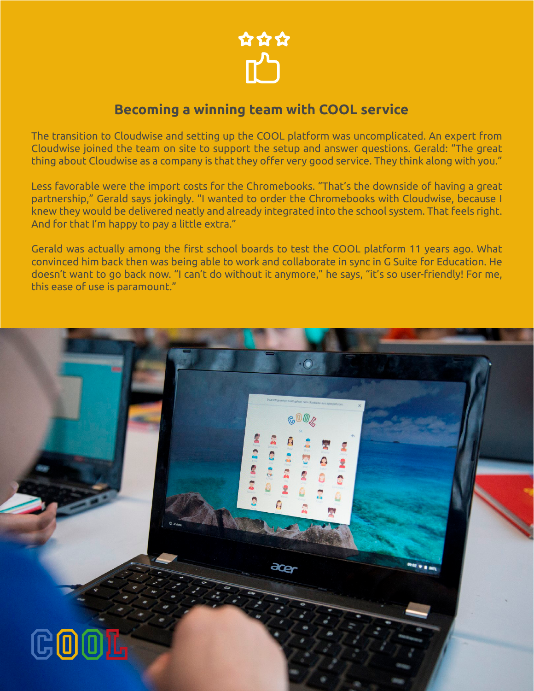

### **Becoming a winning team with COOL service**

The transition to Cloudwise and setting up the COOL platform was uncomplicated. An expert from Cloudwise joined the team on site to support the setup and answer questions. Gerald: "The great thing about Cloudwise as a company is that they offer very good service. They think along with you."

Less favorable were the import costs for the Chromebooks. "That's the downside of having a great partnership," Gerald says jokingly. "I wanted to order the Chromebooks with Cloudwise, because I knew they would be delivered neatly and already integrated into the school system. That feels right. And for that I'm happy to pay a little extra."

Gerald was actually among the first school boards to test the COOL platform 11 years ago. What convinced him back then was being able to work and collaborate in sync in G Suite for Education. He doesn't want to go back now. "I can't do without it anymore," he says, "it's so user-friendly! For me, this ease of use is paramount."

 $\cdot$   $\odot$